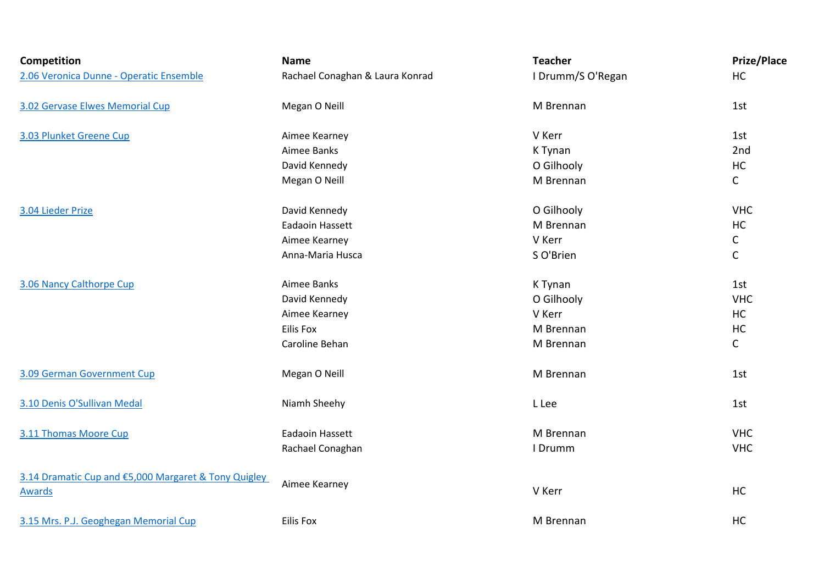| Competition                                                    | <b>Name</b>                     | <b>Teacher</b>    | <b>Prize/Place</b> |
|----------------------------------------------------------------|---------------------------------|-------------------|--------------------|
| 2.06 Veronica Dunne - Operatic Ensemble                        | Rachael Conaghan & Laura Konrad | I Drumm/S O'Regan | HC                 |
| 3.02 Gervase Elwes Memorial Cup                                | Megan O Neill                   | M Brennan         | 1st                |
| 3.03 Plunket Greene Cup                                        | Aimee Kearney                   | V Kerr            | 1st                |
|                                                                | Aimee Banks                     | K Tynan           | 2nd                |
|                                                                | David Kennedy                   | O Gilhooly        | $\sf HC$           |
|                                                                | Megan O Neill                   | M Brennan         | $\mathsf{C}$       |
| 3.04 Lieder Prize                                              | David Kennedy                   | O Gilhooly        | <b>VHC</b>         |
|                                                                | Eadaoin Hassett                 | M Brennan         | HC                 |
|                                                                | Aimee Kearney                   | V Kerr            | $\mathsf C$        |
|                                                                | Anna-Maria Husca                | S O'Brien         | $\mathsf C$        |
| 3.06 Nancy Calthorpe Cup                                       | Aimee Banks                     | K Tynan           | 1st                |
|                                                                | David Kennedy                   | O Gilhooly        | <b>VHC</b>         |
|                                                                | Aimee Kearney                   | V Kerr            | HC                 |
|                                                                | Eilis Fox                       | M Brennan         | HC                 |
|                                                                | Caroline Behan                  | M Brennan         | $\mathsf C$        |
| 3.09 German Government Cup                                     | Megan O Neill                   | M Brennan         | 1st                |
| 3.10 Denis O'Sullivan Medal                                    | Niamh Sheehy                    | L Lee             | 1st                |
| 3.11 Thomas Moore Cup                                          | Eadaoin Hassett                 | M Brennan         | <b>VHC</b>         |
|                                                                | Rachael Conaghan                | I Drumm           | <b>VHC</b>         |
| 3.14 Dramatic Cup and €5,000 Margaret & Tony Quigley<br>Awards | Aimee Kearney                   | V Kerr            | HC                 |
| 3.15 Mrs. P.J. Geoghegan Memorial Cup                          | <b>Eilis Fox</b>                | M Brennan         | HC                 |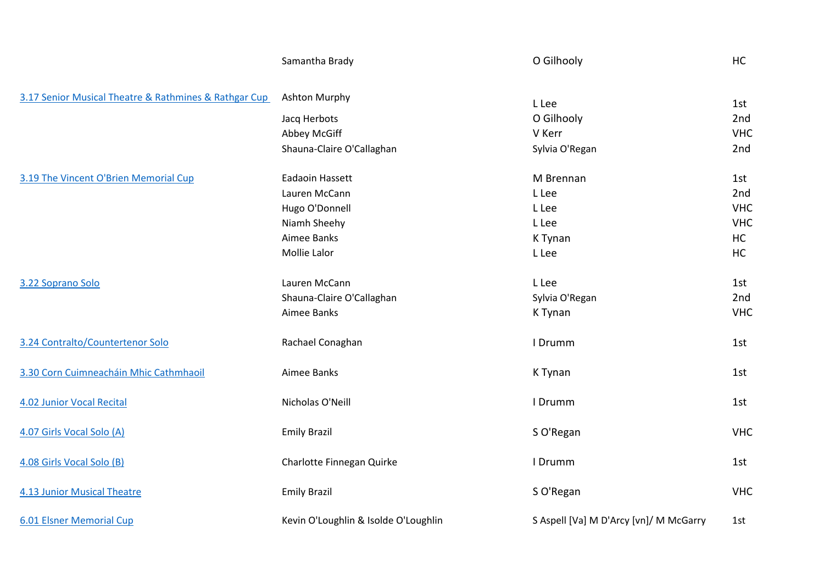|                                                       | Samantha Brady                       | O Gilhooly                             | <b>HC</b>  |
|-------------------------------------------------------|--------------------------------------|----------------------------------------|------------|
| 3.17 Senior Musical Theatre & Rathmines & Rathgar Cup | <b>Ashton Murphy</b>                 | L Lee                                  | 1st        |
|                                                       | Jacq Herbots                         | O Gilhooly                             | 2nd        |
|                                                       | Abbey McGiff                         | V Kerr                                 | <b>VHC</b> |
|                                                       | Shauna-Claire O'Callaghan            | Sylvia O'Regan                         | 2nd        |
| 3.19 The Vincent O'Brien Memorial Cup                 | Eadaoin Hassett                      | M Brennan                              | 1st        |
|                                                       | Lauren McCann                        | L Lee                                  | 2nd        |
|                                                       | Hugo O'Donnell                       | L Lee                                  | <b>VHC</b> |
|                                                       | Niamh Sheehy                         | L Lee                                  | <b>VHC</b> |
|                                                       | Aimee Banks                          | K Tynan                                | <b>HC</b>  |
|                                                       | Mollie Lalor                         | L Lee                                  | <b>HC</b>  |
| 3.22 Soprano Solo                                     | Lauren McCann                        | L Lee                                  | 1st        |
|                                                       | Shauna-Claire O'Callaghan            | Sylvia O'Regan                         | 2nd        |
|                                                       | Aimee Banks                          | K Tynan                                | <b>VHC</b> |
| 3.24 Contralto/Countertenor Solo                      | Rachael Conaghan                     | I Drumm                                | 1st        |
| 3.30 Corn Cuimneacháin Mhic Cathmhaoil                | Aimee Banks                          | K Tynan                                | 1st        |
| 4.02 Junior Vocal Recital                             | Nicholas O'Neill                     | I Drumm                                | 1st        |
| 4.07 Girls Vocal Solo (A)                             | <b>Emily Brazil</b>                  | S O'Regan                              | <b>VHC</b> |
| 4.08 Girls Vocal Solo (B)                             | Charlotte Finnegan Quirke            | I Drumm                                | 1st        |
| <b>4.13 Junior Musical Theatre</b>                    | <b>Emily Brazil</b>                  | S O'Regan                              | <b>VHC</b> |
| <b>6.01 Elsner Memorial Cup</b>                       | Kevin O'Loughlin & Isolde O'Loughlin | S Aspell [Va] M D'Arcy [vn]/ M McGarry | 1st        |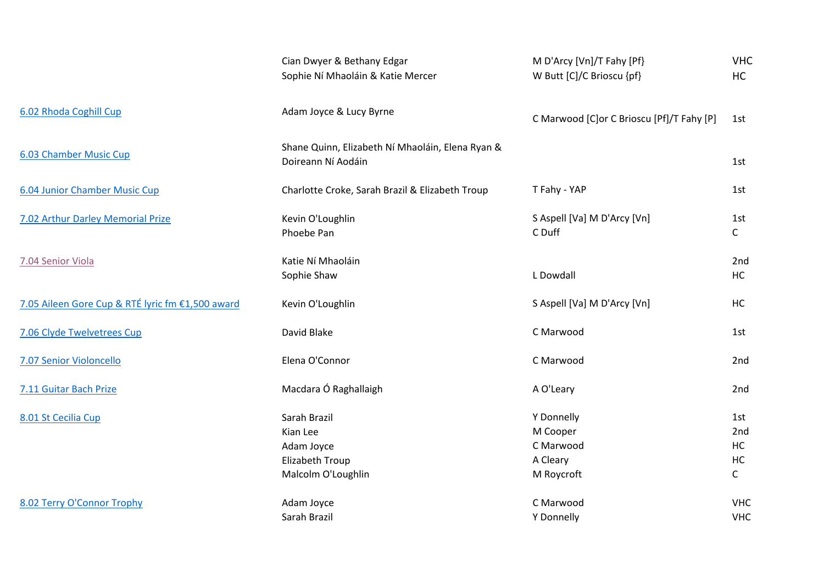|                                                  | Cian Dwyer & Bethany Edgar<br>Sophie Ní Mhaoláin & Katie Mercer                 | M D'Arcy [Vn]/T Fahy [Pf}<br>W Butt [C]/C Brioscu {pf}        | <b>VHC</b><br><b>HC</b>                       |
|--------------------------------------------------|---------------------------------------------------------------------------------|---------------------------------------------------------------|-----------------------------------------------|
| 6.02 Rhoda Coghill Cup                           | Adam Joyce & Lucy Byrne                                                         | C Marwood [C]or C Brioscu [Pf]/T Fahy [P]                     | 1st                                           |
| 6.03 Chamber Music Cup                           | Shane Quinn, Elizabeth Ní Mhaoláin, Elena Ryan &<br>Doireann Ní Aodáin          |                                                               | 1st                                           |
| 6.04 Junior Chamber Music Cup                    | Charlotte Croke, Sarah Brazil & Elizabeth Troup                                 | T Fahy - YAP                                                  | 1st                                           |
| 7.02 Arthur Darley Memorial Prize                | Kevin O'Loughlin<br>Phoebe Pan                                                  | S Aspell [Va] M D'Arcy [Vn]<br>C Duff                         | 1st<br>$\mathsf{C}$                           |
| 7.04 Senior Viola                                | Katie Ní Mhaoláin<br>Sophie Shaw                                                | L Dowdall                                                     | 2nd<br><b>HC</b>                              |
| 7.05 Aileen Gore Cup & RTÉ lyric fm €1,500 award | Kevin O'Loughlin                                                                | S Aspell [Va] M D'Arcy [Vn]                                   | HC                                            |
| 7.06 Clyde Twelvetrees Cup                       | David Blake                                                                     | C Marwood                                                     | 1st                                           |
| 7.07 Senior Violoncello                          | Elena O'Connor                                                                  | C Marwood                                                     | 2nd                                           |
| 7.11 Guitar Bach Prize                           | Macdara Ó Raghallaigh                                                           | A O'Leary                                                     | 2nd                                           |
| 8.01 St Cecilia Cup                              | Sarah Brazil<br>Kian Lee<br>Adam Joyce<br>Elizabeth Troup<br>Malcolm O'Loughlin | Y Donnelly<br>M Cooper<br>C Marwood<br>A Cleary<br>M Roycroft | 1st<br>2nd<br><b>HC</b><br>HC<br>$\mathsf{C}$ |
| 8.02 Terry O'Connor Trophy                       | Adam Joyce<br>Sarah Brazil                                                      | C Marwood<br>Y Donnelly                                       | <b>VHC</b><br><b>VHC</b>                      |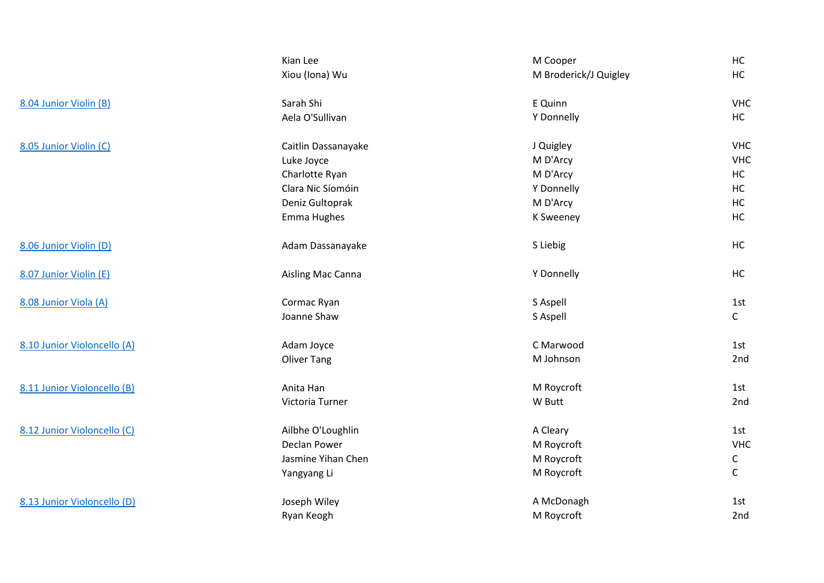|                             | Kian Lee            | M Cooper              | HC           |
|-----------------------------|---------------------|-----------------------|--------------|
|                             | Xiou (Iona) Wu      | M Broderick/J Quigley | HC           |
| 8.04 Junior Violin (B)      | Sarah Shi           | E Quinn               | <b>VHC</b>   |
|                             | Aela O'Sullivan     | Y Donnelly            | HC           |
| 8.05 Junior Violin (C)      | Caitlin Dassanayake | J Quigley             | <b>VHC</b>   |
|                             | Luke Joyce          | M D'Arcy              | <b>VHC</b>   |
|                             | Charlotte Ryan      | M D'Arcy              | HC           |
|                             | Clara Nic Síomóin   | Y Donnelly            | HC           |
|                             | Deniz Gultoprak     | M D'Arcy              | HC           |
|                             | Emma Hughes         | <b>K Sweeney</b>      | HC           |
| 8.06 Junior Violin (D)      | Adam Dassanayake    | S Liebig              | <b>HC</b>    |
| 8.07 Junior Violin (E)      | Aisling Mac Canna   | Y Donnelly            | <b>HC</b>    |
| 8.08 Junior Viola (A)       | Cormac Ryan         | S Aspell              | 1st          |
|                             | Joanne Shaw         | S Aspell              | $\mathsf{C}$ |
| 8.10 Junior Violoncello (A) | Adam Joyce          | C Marwood             | 1st          |
|                             | <b>Oliver Tang</b>  | M Johnson             | 2nd          |
| 8.11 Junior Violoncello (B) | Anita Han           | M Roycroft            | 1st          |
|                             | Victoria Turner     | W Butt                | 2nd          |
| 8.12 Junior Violoncello (C) | Ailbhe O'Loughlin   | A Cleary              | 1st          |
|                             | Declan Power        | M Roycroft            | <b>VHC</b>   |
|                             | Jasmine Yihan Chen  | M Roycroft            | C            |
|                             | Yangyang Li         | M Roycroft            | $\mathsf{C}$ |
| 8.13 Junior Violoncello (D) | Joseph Wiley        | A McDonagh            | 1st          |
|                             | Ryan Keogh          | M Roycroft            | 2nd          |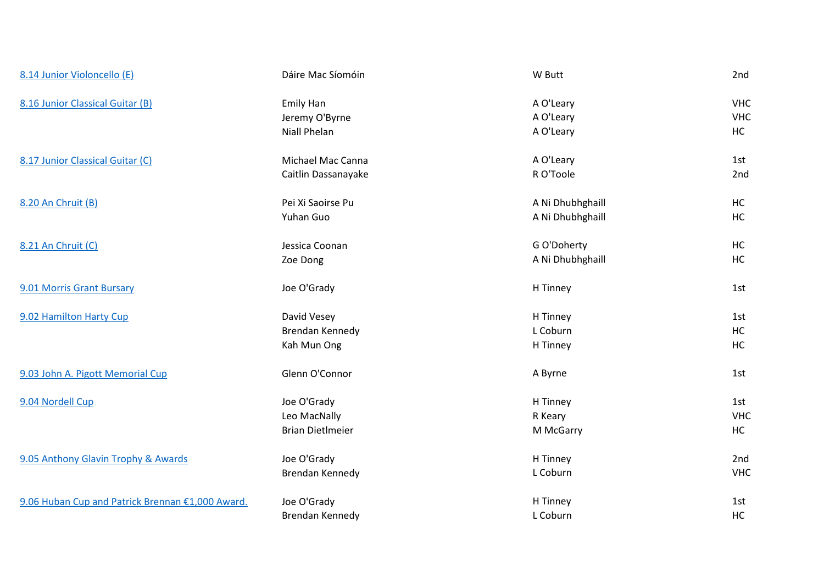| 8.14 Junior Violoncello (E)                      | Dáire Mac Síomóin       | W Butt           | 2nd        |
|--------------------------------------------------|-------------------------|------------------|------------|
| 8.16 Junior Classical Guitar (B)                 | <b>Emily Han</b>        | A O'Leary        | <b>VHC</b> |
|                                                  | Jeremy O'Byrne          | A O'Leary        | <b>VHC</b> |
|                                                  | Niall Phelan            | A O'Leary        | HC         |
| 8.17 Junior Classical Guitar (C)                 | Michael Mac Canna       | A O'Leary        | 1st        |
|                                                  | Caitlin Dassanayake     | R O'Toole        | 2nd        |
| 8.20 An Chruit (B)                               | Pei Xi Saoirse Pu       | A Ni Dhubhghaill | HC         |
|                                                  | Yuhan Guo               | A Ni Dhubhghaill | HC         |
| 8.21 An Chruit (C)                               | Jessica Coonan          | G O'Doherty      | HC         |
|                                                  | Zoe Dong                | A Ni Dhubhghaill | HC         |
| 9.01 Morris Grant Bursary                        | Joe O'Grady             | H Tinney         | 1st        |
| 9.02 Hamilton Harty Cup                          | David Vesey             | H Tinney         | 1st        |
|                                                  | Brendan Kennedy         | L Coburn         | HC         |
|                                                  | Kah Mun Ong             | H Tinney         | HC         |
| 9.03 John A. Pigott Memorial Cup                 | Glenn O'Connor          | A Byrne          | 1st        |
| 9.04 Nordell Cup                                 | Joe O'Grady             | H Tinney         | 1st        |
|                                                  | Leo MacNally            | R Keary          | <b>VHC</b> |
|                                                  | <b>Brian DietImeier</b> | M McGarry        | <b>HC</b>  |
| 9.05 Anthony Glavin Trophy & Awards              | Joe O'Grady             | H Tinney         | 2nd        |
|                                                  | Brendan Kennedy         | L Coburn         | <b>VHC</b> |
| 9.06 Huban Cup and Patrick Brennan €1,000 Award. | Joe O'Grady             | H Tinney         | 1st        |
|                                                  | Brendan Kennedy         | L Coburn         | HC         |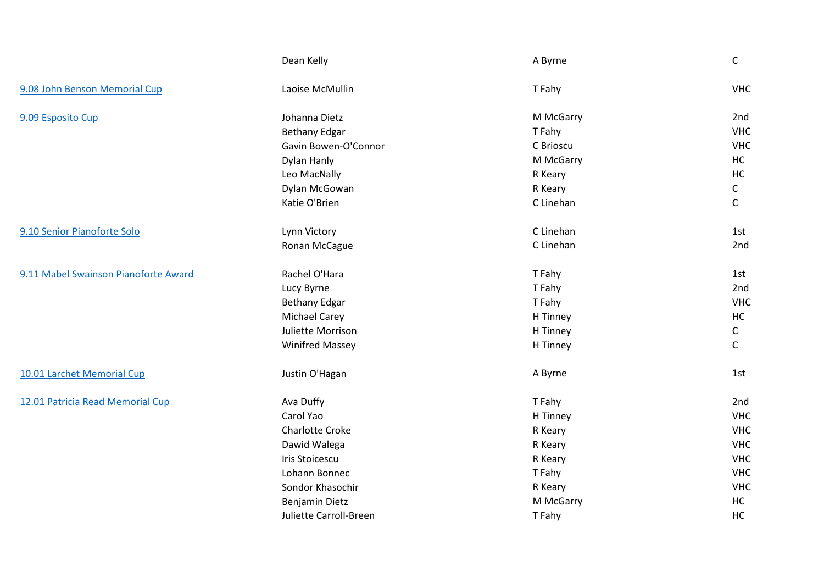|                                      | Dean Kelly             | A Byrne   | $\mathsf{C}$ |
|--------------------------------------|------------------------|-----------|--------------|
| 9.08 John Benson Memorial Cup        | Laoise McMullin        | T Fahy    | <b>VHC</b>   |
| 9.09 Esposito Cup                    | Johanna Dietz          | M McGarry | 2nd          |
|                                      | <b>Bethany Edgar</b>   | T Fahy    | <b>VHC</b>   |
|                                      | Gavin Bowen-O'Connor   | C Brioscu | <b>VHC</b>   |
|                                      | Dylan Hanly            | M McGarry | <b>HC</b>    |
|                                      | Leo MacNally           | R Keary   | HC           |
|                                      | Dylan McGowan          | R Keary   | $\mathsf{C}$ |
|                                      | Katie O'Brien          | C Linehan | $\mathsf C$  |
| 9.10 Senior Pianoforte Solo          | Lynn Victory           | C Linehan | 1st          |
|                                      | Ronan McCague          | C Linehan | 2nd          |
| 9.11 Mabel Swainson Pianoforte Award | Rachel O'Hara          | T Fahy    | 1st          |
|                                      | Lucy Byrne             | T Fahy    | 2nd          |
|                                      | <b>Bethany Edgar</b>   | T Fahy    | <b>VHC</b>   |
|                                      | <b>Michael Carey</b>   | H Tinney  | HC           |
|                                      | Juliette Morrison      | H Tinney  | $\mathsf{C}$ |
|                                      | <b>Winifred Massey</b> | H Tinney  | $\mathsf{C}$ |
| 10.01 Larchet Memorial Cup           | Justin O'Hagan         | A Byrne   | 1st          |
| 12.01 Patricia Read Memorial Cup     | Ava Duffy              | T Fahy    | 2nd          |
|                                      | Carol Yao              | H Tinney  | <b>VHC</b>   |
|                                      | <b>Charlotte Croke</b> | R Keary   | <b>VHC</b>   |
|                                      | Dawid Walega           | R Keary   | <b>VHC</b>   |
|                                      | <b>Iris Stoicescu</b>  | R Keary   | <b>VHC</b>   |
|                                      | Lohann Bonnec          | T Fahy    | <b>VHC</b>   |
|                                      | Sondor Khasochir       | R Keary   | <b>VHC</b>   |
|                                      | Benjamin Dietz         | M McGarry | <b>HC</b>    |
|                                      | Juliette Carroll-Breen | T Fahy    | HC           |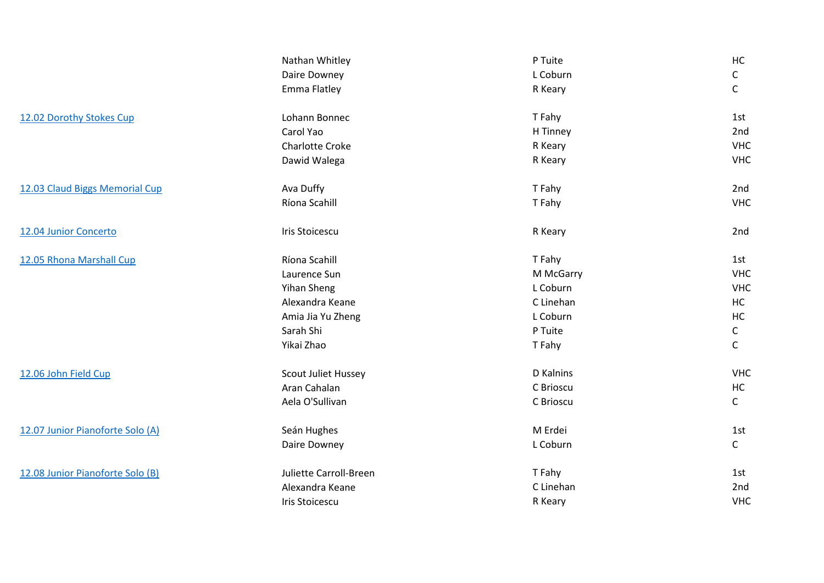|                                  | Nathan Whitley         | P Tuite   | HC           |
|----------------------------------|------------------------|-----------|--------------|
|                                  | Daire Downey           | L Coburn  | $\mathsf C$  |
|                                  | Emma Flatley           | R Keary   | $\mathsf C$  |
| 12.02 Dorothy Stokes Cup         | Lohann Bonnec          | T Fahy    | 1st          |
|                                  | Carol Yao              | H Tinney  | 2nd          |
|                                  | <b>Charlotte Croke</b> | R Keary   | <b>VHC</b>   |
|                                  | Dawid Walega           | R Keary   | <b>VHC</b>   |
| 12.03 Claud Biggs Memorial Cup   | Ava Duffy              | T Fahy    | 2nd          |
|                                  | Ríona Scahill          | T Fahy    | <b>VHC</b>   |
| 12.04 Junior Concerto            | Iris Stoicescu         | R Keary   | 2nd          |
| 12.05 Rhona Marshall Cup         | Ríona Scahill          | T Fahy    | 1st          |
|                                  | Laurence Sun           | M McGarry | <b>VHC</b>   |
|                                  | Yihan Sheng            | L Coburn  | <b>VHC</b>   |
|                                  | Alexandra Keane        | C Linehan | HC           |
|                                  | Amia Jia Yu Zheng      | L Coburn  | HC           |
|                                  | Sarah Shi              | P Tuite   | $\mathsf C$  |
|                                  | Yikai Zhao             | T Fahy    | $\mathsf C$  |
| 12.06 John Field Cup             | Scout Juliet Hussey    | D Kalnins | <b>VHC</b>   |
|                                  | Aran Cahalan           | C Brioscu | HC           |
|                                  | Aela O'Sullivan        | C Brioscu | $\mathsf{C}$ |
| 12.07 Junior Pianoforte Solo (A) | Seán Hughes            | M Erdei   | 1st          |
|                                  | Daire Downey           | L Coburn  | $\mathsf{C}$ |
| 12.08 Junior Pianoforte Solo (B) | Juliette Carroll-Breen | T Fahy    | 1st          |
|                                  | Alexandra Keane        | C Linehan | 2nd          |
|                                  | Iris Stoicescu         | R Keary   | <b>VHC</b>   |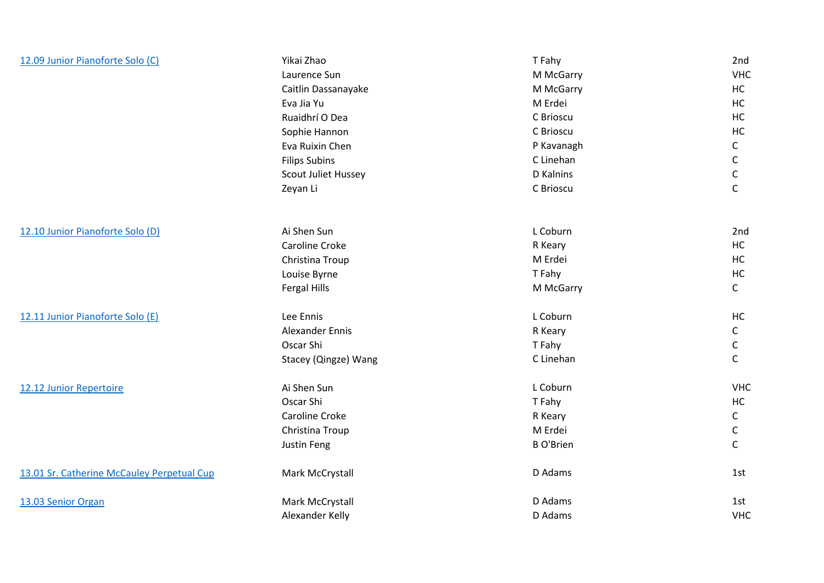| 12.09 Junior Pianoforte Solo (C)           | Yikai Zhao                 | T Fahy           | 2nd          |
|--------------------------------------------|----------------------------|------------------|--------------|
|                                            | Laurence Sun               | M McGarry        | <b>VHC</b>   |
|                                            | Caitlin Dassanayake        | M McGarry        | HC           |
|                                            | Eva Jia Yu                 | M Erdei          | HC           |
|                                            | Ruaidhrí O Dea             | C Brioscu        | HC           |
|                                            | Sophie Hannon              | C Brioscu        | HC           |
|                                            | Eva Ruixin Chen            | P Kavanagh       | $\mathsf{C}$ |
|                                            | <b>Filips Subins</b>       | C Linehan        | $\mathsf{C}$ |
|                                            | <b>Scout Juliet Hussey</b> | D Kalnins        | C            |
|                                            | Zeyan Li                   | C Brioscu        | $\mathsf C$  |
|                                            |                            |                  |              |
| 12.10 Junior Pianoforte Solo (D)           | Ai Shen Sun                | L Coburn         | 2nd          |
|                                            | Caroline Croke             | R Keary          | HC           |
|                                            | Christina Troup            | M Erdei          | HC           |
|                                            | Louise Byrne               | T Fahy           | HC           |
|                                            | Fergal Hills               | M McGarry        | $\mathsf{C}$ |
| 12.11 Junior Pianoforte Solo (E)           | Lee Ennis                  | L Coburn         | HC           |
|                                            | <b>Alexander Ennis</b>     | R Keary          | $\mathsf{C}$ |
|                                            | Oscar Shi                  | T Fahy           | С            |
|                                            | Stacey (Qingze) Wang       | C Linehan        | $\mathsf{C}$ |
| 12.12 Junior Repertoire                    | Ai Shen Sun                | L Coburn         | <b>VHC</b>   |
|                                            | Oscar Shi                  | T Fahy           | HC           |
|                                            | Caroline Croke             | R Keary          | $\mathsf{C}$ |
|                                            | Christina Troup            | M Erdei          | C            |
|                                            | Justin Feng                | <b>B O'Brien</b> | $\mathsf{C}$ |
| 13.01 Sr. Catherine McCauley Perpetual Cup | Mark McCrystall            | D Adams          | 1st          |
| 13.03 Senior Organ                         | Mark McCrystall            | D Adams          | 1st          |
|                                            | Alexander Kelly            | D Adams          | <b>VHC</b>   |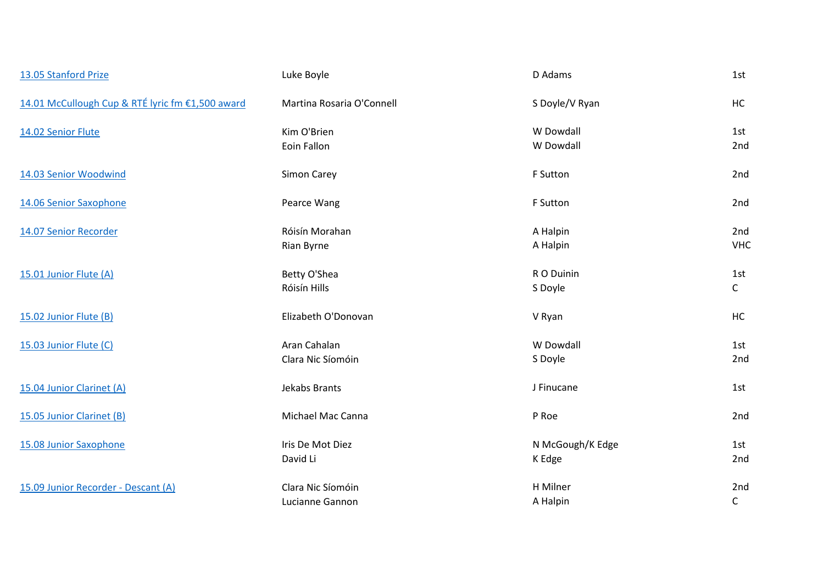| 13.05 Stanford Prize                             | Luke Boyle                           | D Adams                    | 1st                 |
|--------------------------------------------------|--------------------------------------|----------------------------|---------------------|
| 14.01 McCullough Cup & RTÉ lyric fm €1,500 award | Martina Rosaria O'Connell            | S Doyle/V Ryan             | HC                  |
| 14.02 Senior Flute                               | Kim O'Brien<br>Eoin Fallon           | W Dowdall<br>W Dowdall     | 1st<br>2nd          |
| 14.03 Senior Woodwind                            | Simon Carey                          | F Sutton                   | 2nd                 |
| 14.06 Senior Saxophone                           | Pearce Wang                          | F Sutton                   | 2nd                 |
| 14.07 Senior Recorder                            | Róisín Morahan<br>Rian Byrne         | A Halpin<br>A Halpin       | 2nd<br><b>VHC</b>   |
| 15.01 Junior Flute (A)                           | Betty O'Shea<br>Róisín Hills         | R O Duinin<br>S Doyle      | 1st<br>$\mathsf{C}$ |
| 15.02 Junior Flute (B)                           | Elizabeth O'Donovan                  | V Ryan                     | HC                  |
| 15.03 Junior Flute (C)                           | Aran Cahalan<br>Clara Nic Síomóin    | W Dowdall<br>S Doyle       | 1st<br>2nd          |
| 15.04 Junior Clarinet (A)                        | Jekabs Brants                        | J Finucane                 | 1st                 |
| 15.05 Junior Clarinet (B)                        | Michael Mac Canna                    | P Roe                      | 2nd                 |
| 15.08 Junior Saxophone                           | Iris De Mot Diez<br>David Li         | N McGough/K Edge<br>K Edge | 1st<br>2nd          |
| 15.09 Junior Recorder - Descant (A)              | Clara Nic Síomóin<br>Lucianne Gannon | H Milner<br>A Halpin       | 2nd<br>$\mathsf{C}$ |